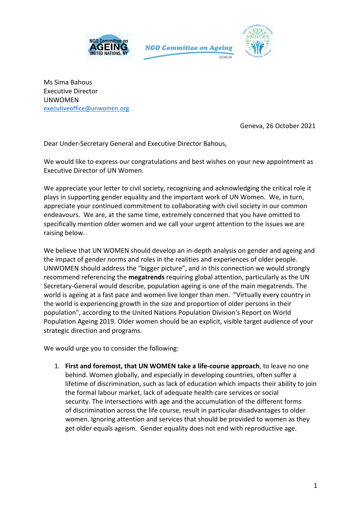





Ms Sima Bahous Executive Director UNWOMEN executiveoffice@unwomen.org

Geneva, 26 October 2021

Dear Under-Secretary General and Executive Director Bahous,

We would like to express our congratulations and best wishes on your new appointment as Executive Director of UN Women.

We appreciate your letter to civil society, recognizing and acknowledging the critical role it plays in supporting gender equality and the important work of UN Women. We, in turn, appreciate your continued commitment to collaborating with civil society in our common endeavours. We are, at the same time, extremely concerned that you have omitted to specifically mention older women and we call your urgent attention to the issues we are raising below.

We believe that UN WOMEN should develop an in-depth analysis on gender and ageing and the impact of gender norms and roles in the realities and experiences of older people. UNWOMEN should address the "bigger picture", and in this connection we would strongly recommend referencing the **megatrends** requiring global attention, particularly as the UN Secretary-General would describe, population ageing is one of the main megatrends. The world is ageing at a fast pace and women live longer than men. "Virtually every country in the world is experiencing growth in the size and proportion of older persons in their population", according to the United Nations Population Division's Report on World Population Ageing 2019. Older women should be an explicit, visible target audience of your strategic direction and programs.

We would urge you to consider the following:

1. **First and foremost, that UN WOMEN take a life-course approach**, to leave no one behind. Women globally, and especially in developing countries, often suffer a lifetime of discrimination, such as lack of education which impacts their ability to join the formal labour market, lack of adequate health care services or social security. The intersections with age and the accumulation of the different forms of discrimination across the life course, result in particular disadvantages to older women. Ignoring attention and services that should be provided to women as they get older equals ageism. Gender equality does not end with reproductive age.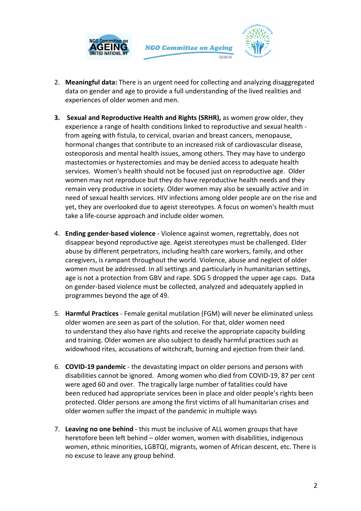



- 2. **Meaningful data:** There is an urgent need for collecting and analyzing disaggregated data on gender and age to provide a full understanding of the lived realities and experiences of older women and men.
- **3. Sexual and Reproductive Health and Rights (SRHR),** as women grow older, they experience a range of health conditions linked to reproductive and sexual health from ageing with fistula, to cervical, ovarian and breast cancers, menopause, hormonal changes that contribute to an increased risk of cardiovascular disease, osteoporosis and mental health issues, among others. They may have to undergo mastectomies or hysterectomies and may be denied access to adequate health services. Women's health should not be focused just on reproductive age. Older women may not reproduce but they do have reproductive health needs and they remain very productive in society. Older women may also be sexually active and in need of sexual health services. HIV infections among older people are on the rise and yet, they are overlooked due to ageist stereotypes. A focus on women's health must take a life-course approach and include older women.
- 4. **Ending gender-based violence** Violence against women, regrettably, does not disappear beyond reproductive age. Ageist stereotypes must be challenged. Elder abuse by different perpetrators, including health care workers, family, and other caregivers, is rampant throughout the world. Violence, abuse and neglect of older women must be addressed. In all settings and particularly in humanitarian settings, age is not a protection from GBV and rape. SDG 5 dropped the upper age caps. Data on gender-based violence must be collected, analyzed and adequately applied in programmes beyond the age of 49.
- 5. **Harmful Practices** Female genital mutilation (FGM) will never be eliminated unless older women are seen as part of the solution. For that, older women need to understand they also have rights and receive the appropriate capacity building and training. Older women are also subject to deadly harmful practices such as widowhood rites, accusations of witchcraft, burning and ejection from their land.
- 6. **COVID-19 pandemic** the devastating impact on older persons and persons with disabilities cannot be ignored. Among women who died from COVID-19, 87 per cent were aged 60 and over. The tragically large number of fatalities could have been reduced had appropriate services been in place and older people's rights been protected. Older persons are among the first victims of all humanitarian crises and older women suffer the impact of the pandemic in multiple ways
- 7. **Leaving no one behind** this must be inclusive of ALL women groups that have heretofore been left behind – older women, women with disabilities, indigenous women, ethnic minorities, LGBTQI, migrants, women of African descent, etc. There is no excuse to leave any group behind.